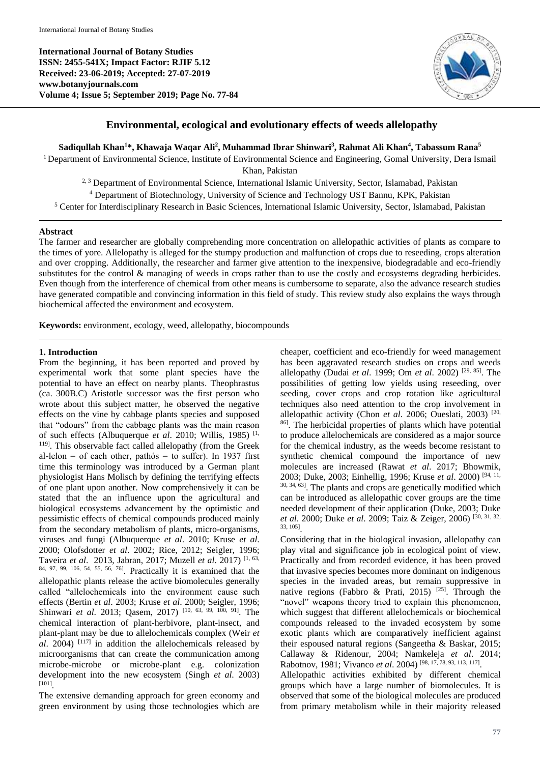**International Journal of Botany Studies ISSN: 2455-541X; Impact Factor: RJIF 5.12 Received: 23-06-2019; Accepted: 27-07-2019 www.botanyjournals.com Volume 4; Issue 5; September 2019; Page No. 77-84**



## **Environmental, ecological and evolutionary effects of weeds allelopathy**

**Sadiqullah Khan<sup>1</sup>\*, Khawaja Waqar Ali<sup>2</sup> , Muhammad Ibrar Shinwari<sup>3</sup> , Rahmat Ali Khan<sup>4</sup> , Tabassum Rana<sup>5</sup>**

<sup>1</sup> Department of Environmental Science, Institute of Environmental Science and Engineering, Gomal University, Dera Ismail Khan, Pakistan

<sup>2, 3</sup> Department of Environmental Science, International Islamic University, Sector, Islamabad, Pakistan

<sup>4</sup> Department of Biotechnology, University of Science and Technology UST Bannu, KPK, Pakistan

<sup>5</sup> Center for Interdisciplinary Research in Basic Sciences, International Islamic University, Sector, Islamabad, Pakistan

#### **Abstract**

The farmer and researcher are globally comprehending more concentration on allelopathic activities of plants as compare to the times of yore. Allelopathy is alleged for the stumpy production and malfunction of crops due to reseeding, crops alteration and over cropping. Additionally, the researcher and farmer give attention to the inexpensive, biodegradable and eco-friendly substitutes for the control & managing of weeds in crops rather than to use the costly and ecosystems degrading herbicides. Even though from the interference of chemical from other means is cumbersome to separate, also the advance research studies have generated compatible and convincing information in this field of study. This review study also explains the ways through biochemical affected the environment and ecosystem.

**Keywords:** environment, ecology, weed, allelopathy, biocompounds

### **1. Introduction**

From the beginning, it has been reported and proved by experimental work that some plant species have the potential to have an effect on nearby plants. Theophrastus (ca. 300B.C) Aristotle successor was the first person who wrote about this subject matter, he observed the negative effects on the vine by cabbage plants species and supposed that "odours" from the cabbage plants was the main reason of such effects (Albuquerque *et al*. 2010; Willis, 1985) [1, 119] . This observable fact called allelopathy (from the Greek al-lelon = of each other, pathós = to suffer). In 1937 first time this terminology was introduced by a German plant physiologist Hans Molisch by defining the terrifying effects of one plant upon another. Now comprehensively it can be stated that the an influence upon the agricultural and biological ecosystems advancement by the optimistic and pessimistic effects of chemical compounds produced mainly from the secondary metabolism of plants, micro-organisms, viruses and fungi (Albuquerque *et al*. 2010; Kruse *et al*. 2000; Olofsdotter *et al*. 2002; Rice, 2012; Seigler, 1996; Taveira *et al*. 2013, Jabran, 2017; Muzell *et al*. 2017) [1, 63, 84, 97, 99, 106, 54, 55, 56, 76] . Practically it is examined that the allelopathic plants release the active biomolecules generally called "allelochemicals into the environment cause such effects (Bertin *et al*. 2003; Kruse *et al*. 2000; Seigler, 1996; Shinwari *et al*. 2013; Qasem, 2017) [10, 63, 99, 100, 91] . The chemical interaction of plant-herbivore, plant-insect, and plant-plant may be due to allelochemicals complex (Weir *et*   $al.$  2004)  $[117]$  in addition the allelochemicals released by microorganisms that can create the communication among microbe-microbe or microbe-plant e.g. colonization development into the new ecosystem (Singh *et al*. 2003) [101] .

The extensive demanding approach for green economy and green environment by using those technologies which are

cheaper, coefficient and eco-friendly for weed management has been aggravated research studies on crops and weeds allelopathy (Dudai *et al*. 1999; Om *et al*. 2002) [29, 85] . The possibilities of getting low yields using reseeding, over seeding, cover crops and crop rotation like agricultural techniques also need attention to the crop involvement in allelopathic activity (Chon *et al*. 2006; Oueslati, 2003) [20, 86] . The herbicidal properties of plants which have potential to produce allelochemicals are considered as a major source for the chemical industry, as the weeds become resistant to synthetic chemical compound the importance of new molecules are increased (Rawat *et al*. 2017; Bhowmik, 2003; Duke, 2003; Einhellig, 1996; Kruse *et al*. 2000) [94, 11, 30, 34, 63]. The plants and crops are genetically modified which can be introduced as allelopathic cover groups are the time needed development of their application (Duke, 2003; Duke *et al*. 2000; Duke *et al*. 2009; Taiz & Zeiger, 2006) [30, 31, 32, 33, 105] .

Considering that in the biological invasion, allelopathy can play vital and significance job in ecological point of view. Practically and from recorded evidence, it has been proved that invasive species becomes more dominant on indigenous species in the invaded areas, but remain suppressive in native regions (Fabbro & Prati, 2015) <sup>[25]</sup>. Through the "novel" weapons theory tried to explain this phenomenon, which suggest that different allelochemicals or biochemical compounds released to the invaded ecosystem by some exotic plants which are comparatively inefficient against their espoused natural regions (Sangeetha & Baskar, 2015; Callaway & Ridenour, 2004; Namkeleja *et al*. 2014; Rabotnov, 1981; Vivanco *et al*. 2004) [98, 17, 78, 93, 113, 117] .

Allelopathic activities exhibited by different chemical groups which have a large number of biomolecules. It is observed that some of the biological molecules are produced from primary metabolism while in their majority released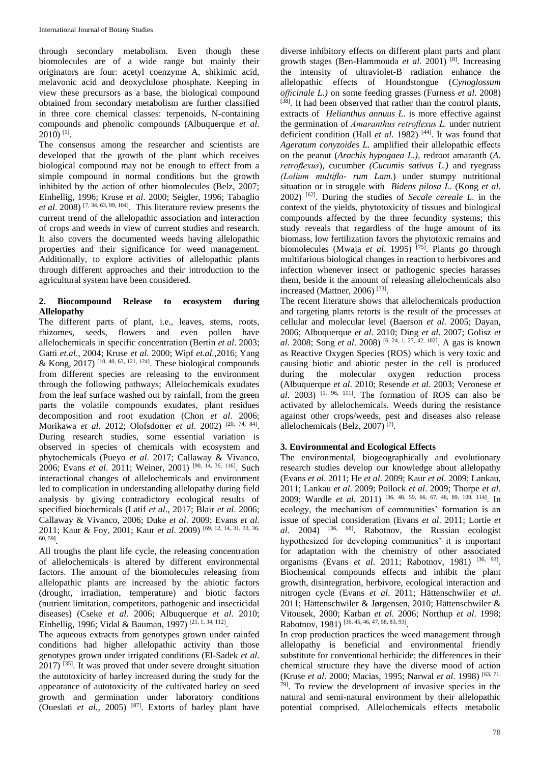through secondary metabolism. Even though these biomolecules are of a wide range but mainly their originators are four: acetyl coenzyme A, shikimic acid, melavonic acid and deoxyclulose phosphate. Keeping in view these precursors as a base, the biological compound obtained from secondary metabolism are further classified in three core chemical classes: terpenoids, N-containing compounds and phenolic compounds (Albuquerque *et al*. 2010) [1] .

The consensus among the researcher and scientists are developed that the growth of the plant which receives biological compound may not be enough to effect from a simple compound in normal conditions but the growth inhibited by the action of other biomolecules (Belz, 2007; Einhellig, 1996; Kruse *et al*. 2000; Seigler, 1996; Tabaglio *et al*. 2008) [7, 34, 63, 99, 104] . This literature review presents the current trend of the allelopathic association and interaction of crops and weeds in view of current studies and research. It also covers the documented weeds having allelopathic properties and their significance for weed management. Additionally, to explore activities of allelopathic plants through different approaches and their introduction to the agricultural system have been considered.

## **2. Biocompound Release to ecosystem during Allelopathy**

The different parts of plant, i.e., leaves, stems, roots, rhizomes, seeds, flowers and even pollen have allelochemicals in specific concentration (Bertin *et al*. 2003; Gatti *et.al.,* 2004; Kruse *et al*. 2000; Wipf *et.al.,*2016; Yang & Kong, 2017)<sup>[10, 40, 63, 121, 124]</sup>. These biological compounds from different species are releasing to the environment through the following pathways; Allelochemicals exudates from the leaf surface washed out by rainfall, from the green parts the volatile compounds exudates, plant residues decomposition and root exudation (Chon *et al*. 2006; Morikawa *et al*. 2012; Olofsdotter *et al*. 2002) [20, 74, 84] . During research studies, some essential variation is observed in species of chemicals with ecosystem and phytochemicals (Pueyo *et al*. 2017; Callaway & Vivanco, 2006; Evans *et al*. 2011; Weiner, 2001) [90, 14, 36, 116] . Such interactional changes of allelochemicals and environment led to complication in understanding allelopathy during field analysis by giving contradictory ecological results of specified biochemicals (Latif *et al*., 2017; Blair *et al*. 2006; Callaway & Vivanco, 2006; Duke *et al*. 2009; Evans *et al*. 2011; Kaur & Foy, 2001; Kaur *et al*. 2009) [69, 12, 14, 31, 33, 36, 60, 59] .

All troughs the plant life cycle, the releasing concentration of allelochemicals is altered by different environmental factors. The amount of the biomolecules releasing from allelopathic plants are increased by the abiotic factors (drought, irradiation, temperature) and biotic factors (nutrient limitation, competitors, pathogenic and insecticidal diseases) (Cseke *et al*. 2006; Albuquerque *et al*. 2010; Einhellig, 1996; Vidal & Bauman, 1997)<sup>[21, 1, 34, 112]</sup>.

The aqueous extracts from genotypes grown under rainfed conditions had higher allelopathic activity than those genotypes grown under irrigated conditions (El-Sadek *et al*. 2017) [35]. It was proved that under severe drought situation the autotoxicity of barley increased during the study for the appearance of autotoxicity of the cultivated barley on seed growth and germination under laboratory conditions (Oueslati *et al.*, 2005) [87]. Extorts of barley plant have

diverse inhibitory effects on different plant parts and plant growth stages (Ben-Hammouda *et al*. 2001) [8] . Increasing the intensity of ultraviolet-B radiation enhance the allelopathic effects of Houndstongue (*Cynoglossum officinale L.)* on some feeding grasses (Furness *et al*. 2008) [38]. It had been observed that rather than the control plants, extracts of *Helianthus annuus L.* is more effective against the germination of *Amaranthus retroflexus L.* under nutrient deficient condition (Hall *et al.* 1982)<sup>[44]</sup>. It was found that *Ageratum conyzoides L.* amplified their allelopathic effects on the peanut (*Arachis hypogaea L.),* redroot amaranth (*A. retroflexus*), cucumber *(Cucumis sativus L.)* and ryegrass *(Lolium multiflo- rum Lam.*) under stumpy nutritional situation or in struggle with *Bidens pilosa L.* (Kong *et al*. 2002) [62]. During the studies of *Secale cereale L.* in the context of the yields, phytotoxicity of tissues and biological compounds affected by the three fecundity systems; this study reveals that regardless of the huge amount of its biomass, low fertilization favors the phytotoxic remains and biomolecules (Mwaja *et al*. 1995) [75]. Plants go through multifarious biological changes in reaction to herbivores and infection whenever insect or pathogenic species harasses them, beside it the amount of releasing allelochemicals also increased (Mattner, 2006)<sup>[73]</sup>.

The recent literature shows that allelochemicals production and targeting plants retorts is the result of the processes at cellular and molecular level (Baerson *et al*. 2005; Dayan, 2006; Albuquerque *et al*. 2010; Ding *et al*. 2007; Golisz *et al*. 2008; Song *et al*. 2008) [6, 24, 1, 27, 42, 102] . A gas is known as Reactive Oxygen Species (ROS) which is very toxic and causing biotic and abiotic pester in the cell is produced during the molecular oxygen reduction process (Albuquerque *et al*. 2010; Resende *et al*. 2003; Veronese *et*   $al.$  2003)<sup>[1, 96, 111]. The formation of ROS can also be</sup> activated by allelochemicals. Weeds during the resistance against other crops/weeds, pest and diseases also release allelochemicals (Belz, 2007) [7] .

# **3. Environmental and Ecological Effects**

The environmental, biogeographically and evolutionary research studies develop our knowledge about allelopathy (Evans *et al*. 2011; He *et al*. 2009; Kaur *et al*. 2009; Lankau, 2011; Lankau *et al*. 2009; Pollock *et al*. 2009; Thorpe *et al*. 2009; Wardle *et al*. 2011) [36, 48, 59, 66, 67, 48, 89, 109, 114] . In ecology, the mechanism of communities' formation is an issue of special consideration (Evans *et al*. 2011; Lortie *et al*. 2004) [36, 68] . Rabotnov, the Russian ecologist hypothesized for developing communities' it is important for adaptation with the chemistry of other associated organisms (Evans *et al.* 2011; Rabotnov, 1981) <sup>[36, 93]</sup>. Biochemical compounds effects and inhibit the plant growth, disintegration, herbivore, ecological interaction and nitrogen cycle (Evans *et al*. 2011; Hättenschwiler *et al*. 2011; Hättenschwiler & Jørgensen, 2010; Hättenschwiler & Vitousek, 2000; Karban *et al*. 2006; Northup *et al*. 1998; Rabotnov, 1981)<sup>[36, 45, 46, 47, 58, 83, 93]</sup>.

In crop production practices the weed management through allelopathy is beneficial and environmental friendly substitute for conventional herbicide; the differences in their chemical structure they have the diverse mood of action (Kruse *et al*. 2000; Macias, 1995; Narwal *et al*. 1998) [63, 71, 79] . To review the development of invasive species in the natural and semi-natural environment by their allelopathic potential comprised. Allelochemicals effects metabolic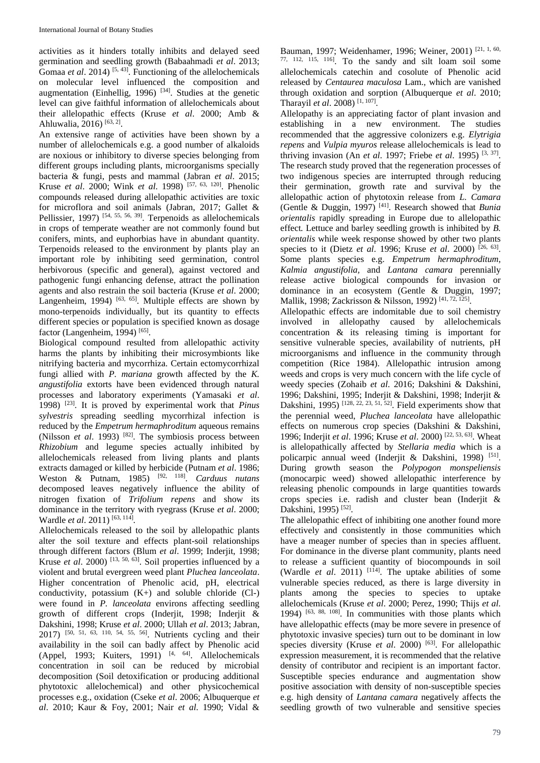activities as it hinders totally inhibits and delayed seed germination and seedling growth (Babaahmadi *et al*. 2013; Gomaa *et al.* 2014)<sup>[5, 43]</sup>. Functioning of the allelochemicals on molecular level influenced the composition and augmentation (Einhellig, 1996)  $[34]$ . Studies at the genetic level can give faithful information of allelochemicals about their allelopathic effects (Kruse *et al*. 2000; Amb & Ahluwalia, 2016)<sup>[63, 2]</sup>.

An extensive range of activities have been shown by a number of allelochemicals e.g. a good number of alkaloids are noxious or inhibitory to diverse species belonging from different groups including plants, microorganisms specially bacteria & fungi, pests and mammal (Jabran *et al*. 2015; Kruse *et al*. 2000; Wink *et al*. 1998) [57, 63, 120] . Phenolic compounds released during allelopathic activities are toxic for microflora and soil animals (Jabran, 2017; Gallet & Pellissier, 1997)<sup>[54, 55, 56, 39]</sup>. Terpenoids as allelochemicals in crops of temperate weather are not commonly found but conifers, mints, and euphorbias have in abundant quantity. Terpenoids released to the environment by plants play an important role by inhibiting seed germination, control herbivorous (specific and general), against vectored and pathogenic fungi enhancing defense, attract the pollination agents and also restrain the soil bacteria (Kruse *et al*. 2000; Langenheim, 1994)  $[63, 65]$ . Multiple effects are shown by mono-terpenoids individually, but its quantity to effects different species or population is specified known as dosage factor (Langenheim, 1994)<sup>[65]</sup>.

Biological compound resulted from allelopathic activity harms the plants by inhibiting their microsymbionts like nitrifying bacteria and mycorrhiza. Certain ectomycorrhizal fungi allied with *P. mariana* growth affected by the *K. angustifolia* extorts have been evidenced through natural processes and laboratory experiments (Yamasaki *et al*. 1998) [23]. It is proved by experimental work that *Pinus sylvestris* spreading seedling mycorrhizal infection is reduced by the *Empetrum hermaphroditum* aqueous remains (Nilsson *et al.* 1993)<sup>[82]</sup>. The symbiosis process between *Rhizobium* and legume species actually inhibited by allelochemicals released from living plants and plants extracts damaged or killed by herbicide (Putnam *et al*. 1986; Weston & Putnam, 1985) <sup>[92, 118]</sup>. *Carduus nutans* decomposed leaves negatively influence the ability of nitrogen fixation of *Trifolium repens* and show its dominance in the territory with ryegrass (Kruse *et al*. 2000; Wardle *et al*. 2011) [63, 114] *.*

Allelochemicals released to the soil by allelopathic plants alter the soil texture and effects plant-soil relationships through different factors (Blum *et al*. 1999; Inderjit, 1998; Kruse *et al.* 2000) [13, 50, 63]. Soil properties influenced by a violent and brutal evergreen weed plant *Pluchea lanceolata*. Higher concentration of Phenolic acid, pH, electrical conductivity, potassium  $(K+)$  and soluble chloride  $(Cl-)$ were found in *P. lanceolata* environs affecting seedling growth of different crops (Inderjit, 1998; Inderjit & Dakshini, 1998; Kruse *et al*. 2000; Ullah *et al*. 2013; Jabran, 2017) [50, 51, 63, 110, 54, 55, 56] . Nutrients cycling and their availability in the soil can badly affect by Phenolic acid (Appel, 1993; Kuiters, 1991)  $[4, 64]$ . Allelochemicals concentration in soil can be reduced by microbial decomposition (Soil detoxification or producing additional phytotoxic allelochemical) and other physicochemical processes e.g., oxidation (Cseke *et al*. 2006; Albuquerque *et al*. 2010; Kaur & Foy, 2001; Nair *et al*. 1990; Vidal &

Bauman, 1997; Weidenhamer, 1996; Weiner, 2001)<sup>[21, 1, 60,</sup> 77, 112, 115, 116] . To the sandy and silt loam soil some allelochemicals catechin and cosolute of Phenolic acid released by *Centaurea maculosa* Lam., which are vanished through oxidation and sorption (Albuquerque *et al*. 2010; Tharayil *et al*. 2008) [1, 107] .

Allelopathy is an appreciating factor of plant invasion and establishing in a new environment. The studies recommended that the aggressive colonizers e.g. *Elytrigia repens* and *Vulpia myuros* release allelochemicals is lead to thriving invasion (An *et al*. 1997; Friebe *et al*. 1995) [3, 37] . The research study proved that the regeneration processes of two indigenous species are interrupted through reducing their germination, growth rate and survival by the allelopathic action of phytotoxin release from *L. Camara*  (Gentle & Duggin, 1997) [41]. Research showed that *Bunia orientalis* rapidly spreading in Europe due to allelopathic effect*.* Lettuce and barley seedling growth is inhibited by *B. orientalis* while week response showed by other two plants species to it (Dietz *et al.* 1996; Kruse *et al.* 2000)<sup>[26, 63]</sup>. Some plants species e.g. *Empetrum hermaphroditum*, *Kalmia angustifolia,* and *Lantana camara* perennially release active biological compounds for invasion or dominance in an ecosystem (Gentle & Duggin, 1997; Mallik, 1998; Zackrisson & Nilsson, 1992)<sup>[41, 72, 125]</sup>.

Allelopathic effects are indomitable due to soil chemistry involved in allelopathy caused by allelochemicals concentration & its releasing timing is important for sensitive vulnerable species, availability of nutrients, pH microorganisms and influence in the community through competition (Rice 1984). Allelopathic intrusion among weeds and crops is very much concern with the life cycle of weedy species (Zohaib *et al*. 2016; Dakshini & Dakshini, 1996; Dakshini, 1995; Inderjit & Dakshini, 1998; Inderjit & Dakshini, 1995)<sup>[128, 22, 23, 51, 52]</sup>. Field experiments show that the perennial weed, *Pluchea lanceolata* have allelopathic effects on numerous crop species (Dakshini & Dakshini, 1996; Inderjit *et al*. 1996; Kruse *et al*. 2000) [22, 53, 63]. Wheat is allelopathically affected by *Stellaria media* which is a policarpic annual weed (Inderjit & Dakshini, 1998)<sup>[51]</sup>. During growth season the *Polypogon monspeliensis*  (monocarpic weed) showed allelopathic interference by releasing phenolic compounds in large quantities towards crops species i.e. radish and cluster bean (Inderjit & Dakshini, 1995)<sup>[52]</sup>.

The allelopathic effect of inhibiting one another found more effectively and consistently in those communities which have a meager number of species than in species affluent. For dominance in the diverse plant community, plants need to release a sufficient quantity of biocompounds in soil (Wardle *et al.* 2011)  $[114]$ . The uptake abilities of some vulnerable species reduced, as there is large diversity in plants among the species to species to uptake allelochemicals (Kruse *et al*. 2000; Perez, 1990; Thijs *et al*. 1994) [63, 88, 108] . In communities with those plants which have allelopathic effects (may be more severe in presence of phytotoxic invasive species) turn out to be dominant in low species diversity (Kruse *et al.* 2000)<sup>[63]</sup>. For allelopathic expression measurement, it is recommended that the relative density of contributor and recipient is an important factor. Susceptible species endurance and augmentation show positive association with density of non-susceptible species e.g. high density of *Lantana camara* negatively affects the seedling growth of two vulnerable and sensitive species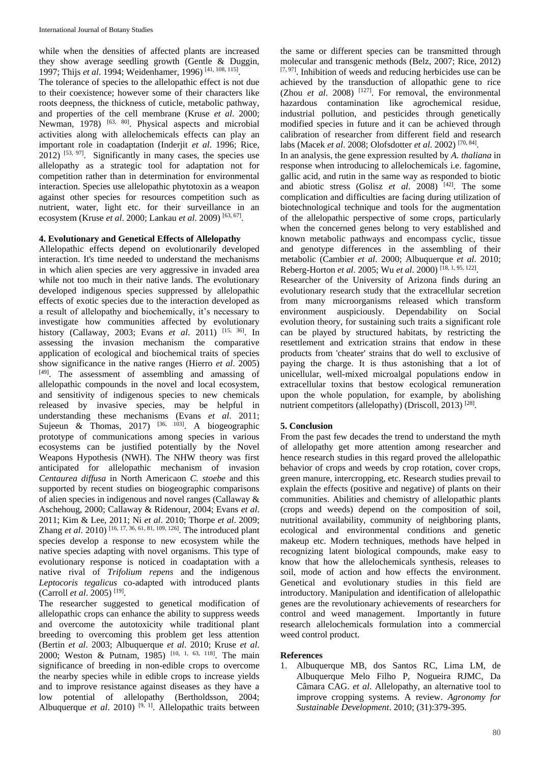while when the densities of affected plants are increased they show average seedling growth (Gentle & Duggin, 1997; Thijs *et al*. 1994; Weidenhamer, 1996) [41, 108, 115] . The tolerance of species to the allelopathic effect is not due to their coexistence; however some of their characters like roots deepness, the thickness of cuticle, metabolic pathway, and properties of the cell membrane (Kruse *et al*. 2000; Newman, 1978) <sup>[63, 80]</sup>. Physical aspects and microbial activities along with allelochemicals effects can play an important role in coadaptation (Inderjit *et al*. 1996; Rice,  $2012$ ) [53, 97]. Significantly in many cases, the species use allelopathy as a strategic tool for adaptation not for competition rather than in determination for environmental interaction. Species use allelopathic phytotoxin as a weapon against other species for resources competition such as nutrient, water, light etc. for their surveillance in an ecosystem (Kruse *et al*. 2000; Lankau *et al*. 2009) [63, 67] .

## **4. Evolutionary and Genetical Effects of Allelopathy**

Allelopathic effects depend on evolutionarily developed interaction. It's time needed to understand the mechanisms in which alien species are very aggressive in invaded area while not too much in their native lands. The evolutionary developed indigenous species suppressed by allelopathic effects of exotic species due to the interaction developed as a result of allelopathy and biochemically, it's necessary to investigate how communities affected by evolutionary history (Callaway, 2003; Evans *et al*. 2011) [15, 36]. In assessing the invasion mechanism the comparative application of ecological and biochemical traits of species show significance in the native ranges (Hierro *et al*. 2005) [49]. The assessment of assembling and amassing of allelopathic compounds in the novel and local ecosystem, and sensitivity of indigenous species to new chemicals released by invasive species, may be helpful in understanding these mechanisms (Evans *et al*. 2011; Sujeeun & Thomas, 2017)  $[36, 103]$ . A biogeographic prototype of communications among species in various ecosystems can be justified potentially by the Novel Weapons Hypothesis (NWH). The NHW theory was first anticipated for allelopathic mechanism of invasion *Centaurea diffusa* in North Americaon *C. stoebe* and this supported by recent studies on biogeographic comparisons of alien species in indigenous and novel ranges (Callaway & Aschehoug, 2000; Callaway & Ridenour, 2004; Evans *et al*. 2011; Kim & Lee, 2011; Ni *et al*. 2010; Thorpe *et al*. 2009; Zhang *et al*. 2010) [16, 17, 36, 61, 81, 109, 126] . The introduced plant species develop a response to new ecosystem while the native species adapting with novel organisms. This type of evolutionary response is noticed in coadaptation with a native rival of *Trifolium repens* and the indigenous *Leptocoris tegalicus* co-adapted with introduced plants (Carroll *et al*. 2005) [19] .

The researcher suggested to genetical modification of allelopathic crops can enhance the ability to suppress weeds and overcome the autotoxicity while traditional plant breeding to overcoming this problem get less attention (Bertin *et al*. 2003; Albuquerque *et al*. 2010; Kruse *et al*. 2000; Weston & Putnam, 1985) [10, 1, 63, 118] . The main significance of breeding in non-edible crops to overcome the nearby species while in edible crops to increase yields and to improve resistance against diseases as they have a low potential of allelopathy (Bertholdsson, 2004; Albuquerque *et al.* 2010)<sup>[9, 1]</sup>. Allelopathic traits between

the same or different species can be transmitted through molecular and transgenic methods (Belz, 2007; Rice, 2012)  $[7, 97]$ . Inhibition of weeds and reducing herbicides use can be achieved by the transduction of allopathic gene to rice (Zhou *et al*. 2008) [127]. For removal, the environmental hazardous contamination like agrochemical residue, industrial pollution, and pesticides through genetically modified species in future and it can be achieved through calibration of researcher from different field and research labs (Macek *et al*. 2008; Olofsdotter *et al*. 2002) [70, 84] .

In an analysis, the gene expression resulted by *A. thaliana* in response when introducing to allelochemicals i.e. fagomine, gallic acid, and rutin in the same way as responded to biotic and abiotic stress (Golisz *et al*. 2008) [42]. The some complication and difficulties are facing during utilization of biotechnological technique and tools for the augmentation of the allelopathic perspective of some crops, particularly when the concerned genes belong to very established and known metabolic pathways and encompass cyclic, tissue and genotype differences in the assembling of their metabolic (Cambier *et al*. 2000; Albuquerque *et al*. 2010; Reberg-Horton *et al*. 2005; Wu *et al*. 2000) [18, 1, 95, 122] .

Researcher of the University of Arizona finds during an evolutionary research study that the extracellular secretion from many microorganisms released which transform environment auspiciously. Dependability on Social evolution theory, for sustaining such traits a significant role can be played by structured habitats, by restricting the resettlement and extrication strains that endow in these products from 'cheater' strains that do well to exclusive of paying the charge. It is thus astonishing that a lot of unicellular, well-mixed microalgal populations endow in extracellular toxins that bestow ecological remuneration upon the whole population, for example, by abolishing nutrient competitors (allelopathy) (Driscoll, 2013)<sup>[28]</sup>.

## **5. Conclusion**

From the past few decades the trend to understand the myth of allelopathy get more attention among researcher and hence research studies in this regard proved the allelopathic behavior of crops and weeds by crop rotation, cover crops, green manure, intercropping, etc. Research studies prevail to explain the effects (positive and negative) of plants on their communities. Abilities and chemistry of allelopathic plants (crops and weeds) depend on the composition of soil, nutritional availability, community of neighboring plants, ecological and environmental conditions and genetic makeup etc. Modern techniques, methods have helped in recognizing latent biological compounds, make easy to know that how the allelochemicals synthesis, releases to soil, mode of action and how effects the environment. Genetical and evolutionary studies in this field are introductory. Manipulation and identification of allelopathic genes are the revolutionary achievements of researchers for control and weed management. Importantly in future research allelochemicals formulation into a commercial weed control product.

### **References**

1. Albuquerque MB, dos Santos RC, Lima LM, de Albuquerque Melo Filho P, Nogueira RJMC, Da Câmara CAG. *et al*. Allelopathy, an alternative tool to improve cropping systems. A review. *Agronomy for Sustainable Development*. 2010; (31):379-395.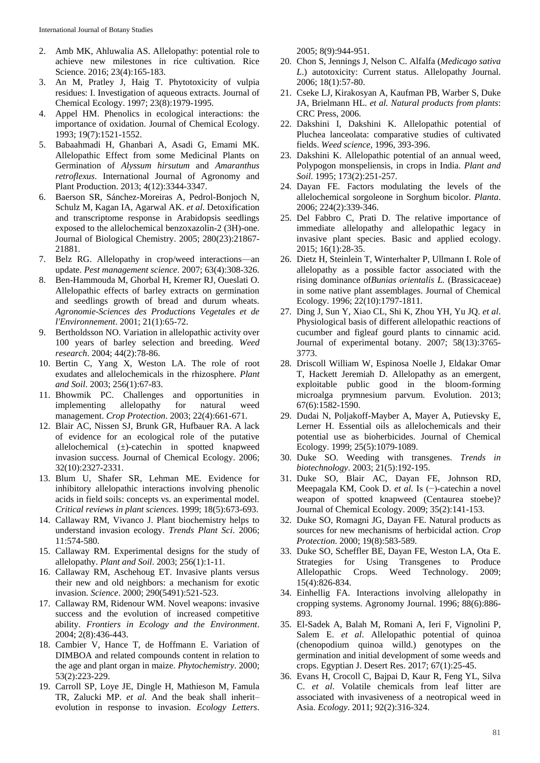- 2. Amb MK, Ahluwalia AS. Allelopathy: potential role to achieve new milestones in rice cultivation. Rice Science. 2016; 23(4):165-183.
- 3. An M, Pratley J, Haig T. Phytotoxicity of vulpia residues: I. Investigation of aqueous extracts. Journal of Chemical Ecology. 1997; 23(8):1979-1995.
- 4. Appel HM. Phenolics in ecological interactions: the importance of oxidation. Journal of Chemical Ecology. 1993; 19(7):1521-1552.
- 5. Babaahmadi H, Ghanbari A, Asadi G, Emami MK. Allelopathic Effect from some Medicinal Plants on Germination of *Alyssum hirsutum* and *Amaranthus retroflexus*. International Journal of Agronomy and Plant Production. 2013; 4(12):3344-3347.
- 6. Baerson SR, Sánchez-Moreiras A, Pedrol-Bonjoch N, Schulz M, Kagan IA, Agarwal AK. *et al*. Detoxification and transcriptome response in Arabidopsis seedlings exposed to the allelochemical benzoxazolin-2 (3H)-one. Journal of Biological Chemistry. 2005; 280(23):21867- 21881.
- 7. Belz RG. Allelopathy in crop/weed interactions—an update. *Pest management science*. 2007; 63(4):308-326.
- 8. Ben-Hammouda M, Ghorbal H, Kremer RJ, Oueslati O. Allelopathic effects of barley extracts on germination and seedlings growth of bread and durum wheats. *Agronomie-Sciences des Productions Vegetales et de l'Environnement*. 2001; 21(1):65-72.
- 9. Bertholdsson NO. Variation in allelopathic activity over 100 years of barley selection and breeding. *Weed research*. 2004; 44(2):78-86.
- 10. Bertin C, Yang X, Weston LA. The role of root exudates and allelochemicals in the rhizosphere. *Plant and Soil*. 2003; 256(1):67-83.
- 11. Bhowmik PC. Challenges and opportunities in implementing allelopathy for natural weed management. *Crop Protection*. 2003; 22(4):661-671.
- 12. Blair AC, Nissen SJ, Brunk GR, Hufbauer RA. A lack of evidence for an ecological role of the putative allelochemical (±)-catechin in spotted knapweed invasion success. Journal of Chemical Ecology. 2006; 32(10):2327-2331.
- 13. Blum U, Shafer SR, Lehman ME. Evidence for inhibitory allelopathic interactions involving phenolic acids in field soils: concepts vs. an experimental model. *Critical reviews in plant sciences*. 1999; 18(5):673-693.
- 14. Callaway RM, Vivanco J. Plant biochemistry helps to understand invasion ecology. *Trends Plant Sci*. 2006; 11:574-580.
- 15. Callaway RM. Experimental designs for the study of allelopathy. *Plant and Soil*. 2003; 256(1):1-11.
- 16. Callaway RM, Aschehoug ET. Invasive plants versus their new and old neighbors: a mechanism for exotic invasion. *Science*. 2000; 290(5491):521-523.
- 17. Callaway RM, Ridenour WM. Novel weapons: invasive success and the evolution of increased competitive ability. *Frontiers in Ecology and the Environment*. 2004; 2(8):436-443.
- 18. Cambier V, Hance T, de Hoffmann E. Variation of DIMBOA and related compounds content in relation to the age and plant organ in maize. *Phytochemistry*. 2000; 53(2):223-229.
- 19. Carroll SP, Loye JE, Dingle H, Mathieson M, Famula TR, Zalucki MP. *et al.* And the beak shall inherit– evolution in response to invasion. *Ecology Letters*.

2005; 8(9):944-951.

- 20. Chon S, Jennings J, Nelson C. Alfalfa (*Medicago sativa L*.) autotoxicity: Current status. Allelopathy Journal. 2006; 18(1):57-80.
- 21. Cseke LJ, Kirakosyan A, Kaufman PB, Warber S, Duke JA, Brielmann HL. *et al. Natural products from plants*: CRC Press, 2006.
- 22. Dakshini I, Dakshini K. Allelopathic potential of Pluchea lanceolata: comparative studies of cultivated fields. *Weed science*, 1996, 393-396.
- 23. Dakshini K. Allelopathic potential of an annual weed, Polypogon monspeliensis, in crops in India. *Plant and Soil*. 1995; 173(2):251-257.
- 24. Dayan FE. Factors modulating the levels of the allelochemical sorgoleone in Sorghum bicolor. *Planta*. 2006; 224(2):339-346.
- 25. Del Fabbro C, Prati D. The relative importance of immediate allelopathy and allelopathic legacy in invasive plant species. Basic and applied ecology. 2015; 16(1):28-35.
- 26. Dietz H, Steinlein T, Winterhalter P, Ullmann I. Role of allelopathy as a possible factor associated with the rising dominance of*Bunias orientalis L.* (Brassicaceae) in some native plant assemblages. Journal of Chemical Ecology. 1996; 22(10):1797-1811.
- 27. Ding J, Sun Y, Xiao CL, Shi K, Zhou YH, Yu JQ. *et al*. Physiological basis of different allelopathic reactions of cucumber and figleaf gourd plants to cinnamic acid. Journal of experimental botany. 2007; 58(13):3765- 3773.
- 28. Driscoll William W, Espinosa Noelle J, Eldakar Omar T, Hackett Jeremiah D. Allelopathy as an emergent, exploitable public good in the bloom‐forming microalga prymnesium parvum. Evolution. 2013; 67(6):1582-1590.
- 29. Dudai N, Poljakoff-Mayber A, Mayer A, Putievsky E, Lerner H. Essential oils as allelochemicals and their potential use as bioherbicides. Journal of Chemical Ecology. 1999; 25(5):1079-1089.
- 30. Duke SO. Weeding with transgenes. *Trends in biotechnology*. 2003; 21(5):192-195.
- 31. Duke SO, Blair AC, Dayan FE, Johnson RD, Meepagala KM, Cook D. *et al.* Is (−)-catechin a novel weapon of spotted knapweed (Centaurea stoebe)? Journal of Chemical Ecology. 2009; 35(2):141-153.
- 32. Duke SO, Romagni JG, Dayan FE. Natural products as sources for new mechanisms of herbicidal action. *Crop Protection*. 2000; 19(8):583-589.
- 33. Duke SO, Scheffler BE, Dayan FE, Weston LA, Ota E. Strategies for Using Transgenes to Produce Allelopathic Crops. Weed Technology. 2009; 15(4):826-834.
- 34. Einhellig FA. Interactions involving allelopathy in cropping systems. Agronomy Journal. 1996; 88(6):886- 893.
- 35. El-Sadek A, Balah M, Romani A, Ieri F, Vignolini P, Salem E. *et al*. Allelopathic potential of quinoa (chenopodium quinoa willd.) genotypes on the germination and initial development of some weeds and crops. Egyptian J. Desert Res. 2017; 67(1):25-45.
- 36. Evans H, Crocoll C, Bajpai D, Kaur R, Feng YL, Silva C. *et al*. Volatile chemicals from leaf litter are associated with invasiveness of a neotropical weed in Asia. *Ecology*. 2011; 92(2):316-324.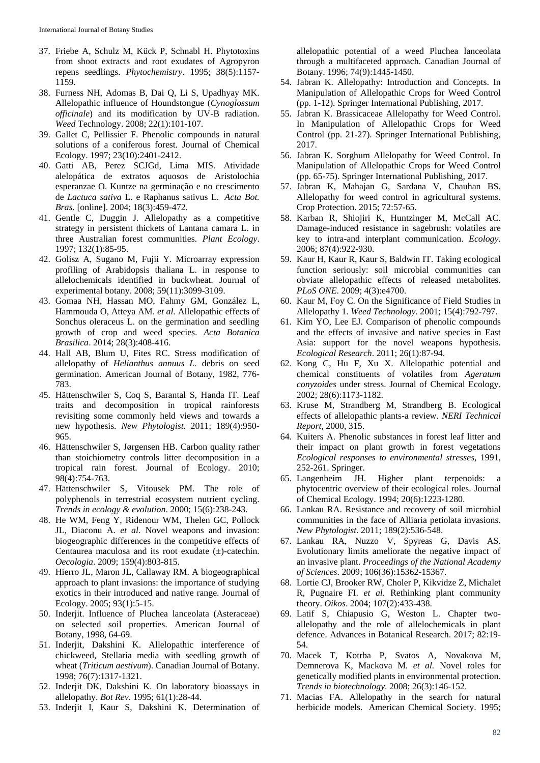- 37. Friebe A, Schulz M, Kück P, Schnabl H. Phytotoxins from shoot extracts and root exudates of Agropyron repens seedlings. *Phytochemistry*. 1995; 38(5):1157- 1159.
- 38. Furness NH, Adomas B, Dai Q, Li S, Upadhyay MK. Allelopathic influence of Houndstongue (*Cynoglossum officinale*) and its modification by UV-B radiation. *Weed* Technology. 2008; 22(1):101-107.
- 39. Gallet C, Pellissier F. Phenolic compounds in natural solutions of a coniferous forest. Journal of Chemical Ecology. 1997; 23(10):2401-2412.
- 40. Gatti AB, Perez SCJGd, Lima MIS. Atividade alelopática de extratos aquosos de Aristolochia esperanzae O. Kuntze na germinação e no crescimento de *Lactuca sativa* L. e Raphanus sativus L. *Acta Bot. Bras.* [online]. 2004; 18(3):459-472.
- 41. Gentle C, Duggin J. Allelopathy as a competitive strategy in persistent thickets of Lantana camara L. in three Australian forest communities. *Plant Ecology*. 1997; 132(1):85-95.
- 42. Golisz A, Sugano M, Fujii Y. Microarray expression profiling of Arabidopsis thaliana L. in response to allelochemicals identified in buckwheat. Journal of experimental botany. 2008; 59(11):3099-3109.
- 43. Gomaa NH, Hassan MO, Fahmy GM, González L, Hammouda O, Atteya AM. *et al.* Allelopathic effects of Sonchus oleraceus L. on the germination and seedling growth of crop and weed species. *Acta Botanica Brasilica*. 2014; 28(3):408-416.
- 44. Hall AB, Blum U, Fites RC. Stress modification of allelopathy of *Helianthus annuus L.* debris on seed germination. American Journal of Botany, 1982, 776- 783.
- 45. Hättenschwiler S, Coq S, Barantal S, Handa IT. Leaf traits and decomposition in tropical rainforests revisiting some commonly held views and towards a new hypothesis. *New Phytologist*. 2011; 189(4):950- 965.
- 46. Hättenschwiler S, Jørgensen HB. Carbon quality rather than stoichiometry controls litter decomposition in a tropical rain forest. Journal of Ecology. 2010; 98(4):754-763.
- 47. Hättenschwiler S, Vitousek PM. The role of polyphenols in terrestrial ecosystem nutrient cycling. *Trends in ecology & evolution*. 2000; 15(6):238-243.
- 48. He WM, Feng Y, Ridenour WM, Thelen GC, Pollock JL, Diaconu A. *et al*. Novel weapons and invasion: biogeographic differences in the competitive effects of Centaurea maculosa and its root exudate (±)-catechin. *Oecologia*. 2009; 159(4):803-815.
- 49. Hierro JL, Maron JL, Callaway RM. A biogeographical approach to plant invasions: the importance of studying exotics in their introduced and native range. Journal of Ecology. 2005; 93(1):5-15.
- 50. Inderjit. Influence of Pluchea lanceolata (Asteraceae) on selected soil properties. American Journal of Botany, 1998, 64-69.
- 51. Inderjit, Dakshini K. Allelopathic interference of chickweed, Stellaria media with seedling growth of wheat (*Triticum aestivum*). Canadian Journal of Botany. 1998; 76(7):1317-1321.
- 52. Inderjit DK, Dakshini K. On laboratory bioassays in allelopathy. *Bot Rev*. 1995; 61(1):28-44.
- 53. Inderjit I, Kaur S, Dakshini K. Determination of

allelopathic potential of a weed Pluchea lanceolata through a multifaceted approach. Canadian Journal of Botany. 1996; 74(9):1445-1450.

- 54. Jabran K. Allelopathy: Introduction and Concepts. In Manipulation of Allelopathic Crops for Weed Control (pp. 1-12). Springer International Publishing, 2017.
- 55. Jabran K. Brassicaceae Allelopathy for Weed Control. In Manipulation of Allelopathic Crops for Weed Control (pp. 21-27). Springer International Publishing, 2017.
- 56. Jabran K. Sorghum Allelopathy for Weed Control. In Manipulation of Allelopathic Crops for Weed Control (pp. 65-75). Springer International Publishing, 2017.
- 57. Jabran K, Mahajan G, Sardana V, Chauhan BS. Allelopathy for weed control in agricultural systems. Crop Protection. 2015; 72:57-65.
- 58. Karban R, Shiojiri K, Huntzinger M, McCall AC. Damage-induced resistance in sagebrush: volatiles are key to intra-and interplant communication. *Ecology*. 2006; 87(4):922-930.
- 59. Kaur H, Kaur R, Kaur S, Baldwin IT. Taking ecological function seriously: soil microbial communities can obviate allelopathic effects of released metabolites. *PLoS ONE*. 2009; 4(3):e4700.
- 60. Kaur M, Foy C. On the Significance of Field Studies in Allelopathy 1. *Weed Technology*. 2001; 15(4):792-797.
- 61. Kim YO, Lee EJ. Comparison of phenolic compounds and the effects of invasive and native species in East Asia: support for the novel weapons hypothesis. *Ecological Research*. 2011; 26(1):87-94.
- 62. Kong C, Hu F, Xu X. Allelopathic potential and chemical constituents of volatiles from *Ageratum conyzoides* under stress. Journal of Chemical Ecology. 2002; 28(6):1173-1182.
- 63. Kruse M, Strandberg M, Strandberg B. Ecological effects of allelopathic plants-a review. *NERI Technical Report*, 2000, 315.
- 64. Kuiters A. Phenolic substances in forest leaf litter and their impact on plant growth in forest vegetations *Ecological responses to environmental stresses*, 1991, 252-261. Springer.<br>65. Langenheim JH.
- Higher plant terpenoids: a phytocentric overview of their ecological roles. Journal of Chemical Ecology. 1994; 20(6):1223-1280.
- 66. Lankau RA. Resistance and recovery of soil microbial communities in the face of Alliaria petiolata invasions. *New Phytologist*. 2011; 189(2):536-548.
- 67. Lankau RA, Nuzzo V, Spyreas G, Davis AS. Evolutionary limits ameliorate the negative impact of an invasive plant. *Proceedings of the National Academy of Sciences*. 2009; 106(36):15362-15367.
- 68. Lortie CJ, Brooker RW, Choler P, Kikvidze Z, Michalet R, Pugnaire FI. *et al*. Rethinking plant community theory. *Oikos*. 2004; 107(2):433-438.
- 69. Latif S, Chiapusio G, Weston L. Chapter twoallelopathy and the role of allelochemicals in plant defence. Advances in Botanical Research. 2017; 82:19- 54.
- 70. Macek T, Kotrba P, Svatos A, Novakova M, Demnerova K, Mackova M. *et al.* Novel roles for genetically modified plants in environmental protection. *Trends in biotechnology*. 2008; 26(3):146-152.
- 71. Macias FA. Allelopathy in the search for natural herbicide models. American Chemical Society. 1995;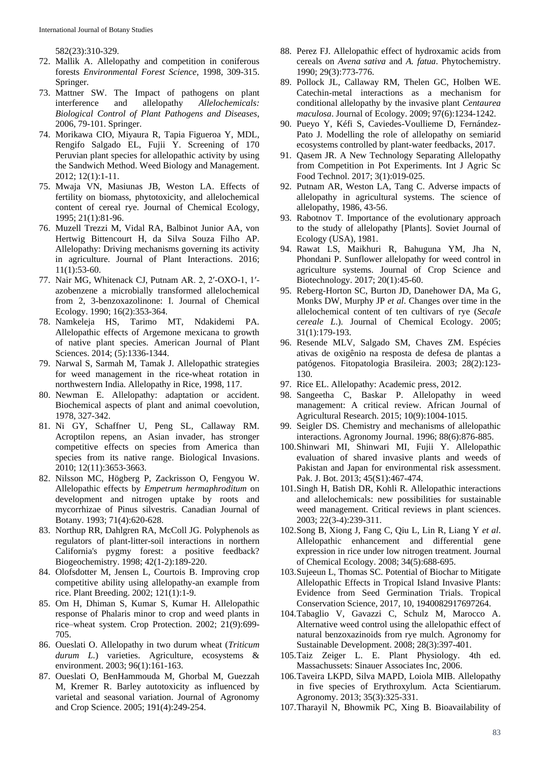582(23):310-329.

- 72. Mallik A. Allelopathy and competition in coniferous forests *Environmental Forest Science*, 1998, 309-315. Springer.
- 73. Mattner SW. The Impact of pathogens on plant interference and allelopathy *Allelochemicals: Biological Control of Plant Pathogens and Diseases*, 2006, 79-101. Springer.
- 74. Morikawa CIO, Miyaura R, Tapia Figueroa Y, MDL, Rengifo Salgado EL, Fujii Y. Screening of 170 Peruvian plant species for allelopathic activity by using the Sandwich Method. Weed Biology and Management. 2012; 12(1):1-11.
- 75. Mwaja VN, Masiunas JB, Weston LA. Effects of fertility on biomass, phytotoxicity, and allelochemical content of cereal rye. Journal of Chemical Ecology, 1995; 21(1):81-96.
- 76. Muzell Trezzi M, Vidal RA, Balbinot Junior AA, von Hertwig Bittencourt H, da Silva Souza Filho AP. Allelopathy: Driving mechanisms governing its activity in agriculture. Journal of Plant Interactions. 2016; 11(1):53-60.
- 77. Nair MG, Whitenack CJ, Putnam AR. 2, 2′-OXO-1, 1′ azobenzene a microbially transformed allelochemical from 2, 3-benzoxazolinone: I. Journal of Chemical Ecology. 1990; 16(2):353-364.
- 78. Namkeleja HS, Tarimo MT, Ndakidemi PA. Allelopathic effects of Argemone mexicana to growth of native plant species. American Journal of Plant Sciences. 2014; (5):1336-1344.
- 79. Narwal S, Sarmah M, Tamak J. Allelopathic strategies for weed management in the rice-wheat rotation in northwestern India. Allelopathy in Rice, 1998, 117.
- 80. Newman E. Allelopathy: adaptation or accident. Biochemical aspects of plant and animal coevolution, 1978, 327-342.
- 81. Ni GY, Schaffner U, Peng SL, Callaway RM. Acroptilon repens, an Asian invader, has stronger competitive effects on species from America than species from its native range. Biological Invasions. 2010; 12(11):3653-3663.
- 82. Nilsson MC, Högberg P, Zackrisson O, Fengyou W. Allelopathic effects by *Empetrum hermaphroditum* on development and nitrogen uptake by roots and mycorrhizae of Pinus silvestris. Canadian Journal of Botany. 1993; 71(4):620-628.
- 83. Northup RR, Dahlgren RA, McColl JG. Polyphenols as regulators of plant-litter-soil interactions in northern California's pygmy forest: a positive feedback? Biogeochemistry. 1998; 42(1-2):189-220.
- 84. Olofsdotter M, Jensen L, Courtois B. Improving crop competitive ability using allelopathy-an example from rice. Plant Breeding. 2002; 121(1):1-9.
- 85. Om H, Dhiman S, Kumar S, Kumar H. Allelopathic response of Phalaris minor to crop and weed plants in rice–wheat system. Crop Protection. 2002; 21(9):699- 705.
- 86. Oueslati O. Allelopathy in two durum wheat (*Triticum durum L.*) varieties. Agriculture, ecosystems & environment. 2003; 96(1):161-163.
- 87. Oueslati O, BenHammouda M, Ghorbal M, Guezzah M, Kremer R. Barley autotoxicity as influenced by varietal and seasonal variation. Journal of Agronomy and Crop Science. 2005; 191(4):249-254.
- 88. Perez FJ. Allelopathic effect of hydroxamic acids from cereals on *Avena sativa* and *A. fatua*. Phytochemistry. 1990; 29(3):773-776.
- 89. Pollock JL, Callaway RM, Thelen GC, Holben WE. Catechin-metal interactions as a mechanism for conditional allelopathy by the invasive plant *Centaurea maculosa*. Journal of Ecology. 2009; 97(6):1234-1242.
- 90. Pueyo Y, Kéfi S, Caviedes-Voullieme D, Fernández-Pato J. Modelling the role of allelopathy on semiarid ecosystems controlled by plant-water feedbacks, 2017.
- 91. Qasem JR. A New Technology Separating Allelopathy from Competition in Pot Experiments. Int J Agric Sc Food Technol. 2017; 3(1):019-025.
- 92. Putnam AR, Weston LA, Tang C. Adverse impacts of allelopathy in agricultural systems. The science of allelopathy, 1986, 43-56.
- 93. Rabotnov T. Importance of the evolutionary approach to the study of allelopathy [Plants]. Soviet Journal of Ecology (USA), 1981.
- 94. Rawat LS, Maikhuri R, Bahuguna YM, Jha N, Phondani P. Sunflower allelopathy for weed control in agriculture systems. Journal of Crop Science and Biotechnology. 2017; 20(1):45-60.
- 95. Reberg-Horton SC, Burton JD, Danehower DA, Ma G, Monks DW, Murphy JP *et al*. Changes over time in the allelochemical content of ten cultivars of rye (*Secale cereale L*.). Journal of Chemical Ecology. 2005; 31(1):179-193.
- 96. Resende MLV, Salgado SM, Chaves ZM. Espécies ativas de oxigênio na resposta de defesa de plantas a patógenos. Fitopatologia Brasileira. 2003; 28(2):123- 130.
- 97. Rice EL. Allelopathy: Academic press, 2012.
- 98. Sangeetha C, Baskar P. Allelopathy in weed management: A critical review. African Journal of Agricultural Research. 2015; 10(9):1004-1015.
- 99. Seigler DS. Chemistry and mechanisms of allelopathic interactions. Agronomy Journal. 1996; 88(6):876-885.
- 100.Shinwari MI, Shinwari MI, Fujii Y. Allelopathic evaluation of shared invasive plants and weeds of Pakistan and Japan for environmental risk assessment. Pak. J. Bot. 2013; 45(S1):467-474.
- 101.Singh H, Batish DR, Kohli R. Allelopathic interactions and allelochemicals: new possibilities for sustainable weed management. Critical reviews in plant sciences. 2003; 22(3-4):239-311.
- 102.Song B, Xiong J, Fang C, Qiu L, Lin R, Liang Y *et al*. Allelopathic enhancement and differential gene expression in rice under low nitrogen treatment. Journal of Chemical Ecology. 2008; 34(5):688-695.
- 103.Sujeeun L, Thomas SC. Potential of Biochar to Mitigate Allelopathic Effects in Tropical Island Invasive Plants: Evidence from Seed Germination Trials. Tropical Conservation Science, 2017, 10, 1940082917697264.
- 104.Tabaglio V, Gavazzi C, Schulz M, Marocco A. Alternative weed control using the allelopathic effect of natural benzoxazinoids from rye mulch. Agronomy for Sustainable Development. 2008; 28(3):397-401.
- 105.Taiz Zeiger L. E. Plant Physiology. 4th ed. Massachussets: Sinauer Associates Inc, 2006.
- 106.Taveira LKPD, Silva MAPD, Loiola MIB. Allelopathy in five species of Erythroxylum. Acta Scientiarum. Agronomy. 2013; 35(3):325-331.
- 107.Tharayil N, Bhowmik PC, Xing B. Bioavailability of